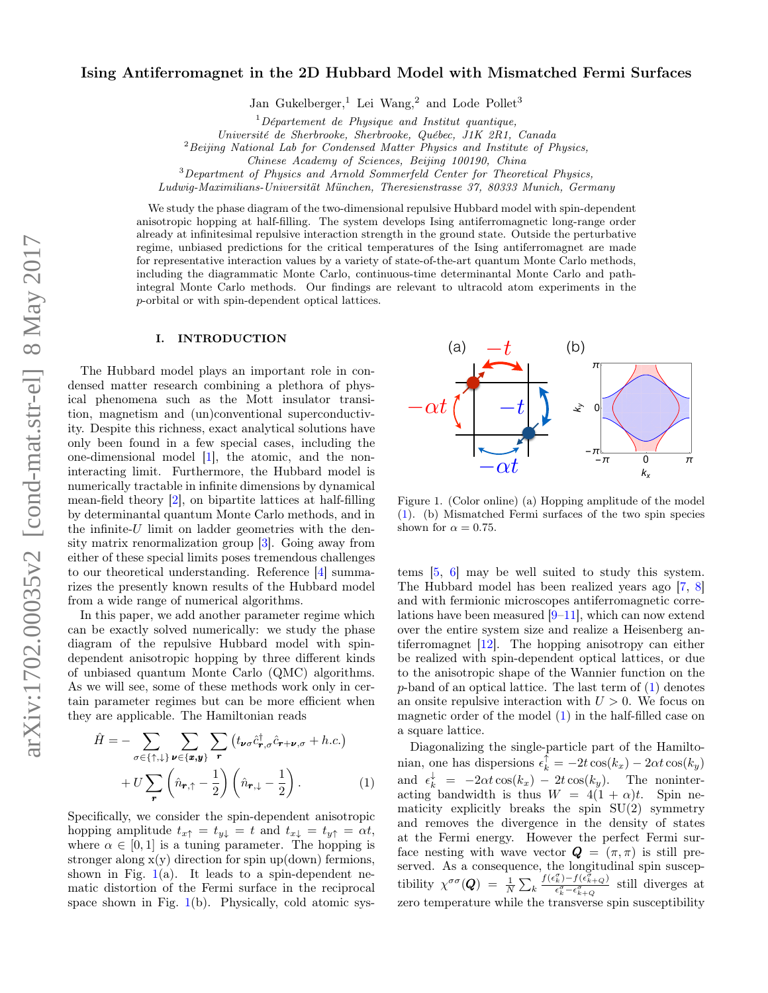# Ising Antiferromagnet in the 2D Hubbard Model with Mismatched Fermi Surfaces

Jan Gukelberger,<sup>1</sup> Lei Wang,<sup>2</sup> and Lode Pollet<sup>3</sup>

 $1$ Département de Physique and Institut quantique,

Université de Sherbrooke, Sherbrooke, Québec, J1K 2R1, Canada

 $2$ Beijing National Lab for Condensed Matter Physics and Institute of Physics,

Chinese Academy of Sciences, Beijing 100190, China

<sup>3</sup>Department of Physics and Arnold Sommerfeld Center for Theoretical Physics,

Ludwig-Maximilians-Universität München, Theresienstrasse 37, 80333 Munich, Germany

We study the phase diagram of the two-dimensional repulsive Hubbard model with spin-dependent anisotropic hopping at half-filling. The system develops Ising antiferromagnetic long-range order already at infinitesimal repulsive interaction strength in the ground state. Outside the perturbative regime, unbiased predictions for the critical temperatures of the Ising antiferromagnet are made for representative interaction values by a variety of state-of-the-art quantum Monte Carlo methods, including the diagrammatic Monte Carlo, continuous-time determinantal Monte Carlo and pathintegral Monte Carlo methods. Our findings are relevant to ultracold atom experiments in the p-orbital or with spin-dependent optical lattices.

# I. INTRODUCTION

The Hubbard model plays an important role in condensed matter research combining a plethora of physical phenomena such as the Mott insulator transition, magnetism and (un)conventional superconductivity. Despite this richness, exact analytical solutions have only been found in a few special cases, including the one-dimensional model [\[1\]](#page-7-0), the atomic, and the noninteracting limit. Furthermore, the Hubbard model is numerically tractable in infinite dimensions by dynamical mean-field theory [\[2\]](#page-7-1), on bipartite lattices at half-filling by determinantal quantum Monte Carlo methods, and in the infinite- $U$  limit on ladder geometries with the density matrix renormalization group [\[3\]](#page-7-2). Going away from either of these special limits poses tremendous challenges to our theoretical understanding. Reference [\[4\]](#page-7-3) summarizes the presently known results of the Hubbard model from a wide range of numerical algorithms.

In this paper, we add another parameter regime which can be exactly solved numerically: we study the phase diagram of the repulsive Hubbard model with spindependent anisotropic hopping by three different kinds of unbiased quantum Monte Carlo (QMC) algorithms. As we will see, some of these methods work only in certain parameter regimes but can be more efficient when they are applicable. The Hamiltonian reads

<span id="page-0-1"></span>
$$
\hat{H} = -\sum_{\sigma \in \{\uparrow, \downarrow\}} \sum_{\nu \in \{\pmb{x}, \pmb{y}\}} \sum_{\mathbf{r}} \left( t_{\pmb{\nu}\sigma} \hat{c}_{\pmb{r}, \sigma}^{\dagger} \hat{c}_{\pmb{r} + \pmb{\nu}, \sigma} + h.c. \right) \n+ U \sum_{\mathbf{r}} \left( \hat{n}_{\mathbf{r}, \uparrow} - \frac{1}{2} \right) \left( \hat{n}_{\mathbf{r}, \downarrow} - \frac{1}{2} \right).
$$
\n(1)

Specifically, we consider the spin-dependent anisotropic hopping amplitude  $t_{x\uparrow} = t_{y\downarrow} = t$  and  $t_{x\downarrow} = t_{y\uparrow} = \alpha t$ , where  $\alpha \in [0, 1]$  is a tuning parameter. The hopping is stronger along  $x(y)$  direction for spin up(down) fermions, shown in Fig.  $1(a)$  $1(a)$ . It leads to a spin-dependent nematic distortion of the Fermi surface in the reciprocal space shown in Fig.  $1(b)$  $1(b)$ . Physically, cold atomic sys-



<span id="page-0-0"></span>Figure 1. (Color online) (a) Hopping amplitude of the model [\(1\)](#page-0-1). (b) Mismatched Fermi surfaces of the two spin species shown for  $\alpha = 0.75$ .

tems [\[5,](#page-7-4) [6\]](#page-7-5) may be well suited to study this system. The Hubbard model has been realized years ago [\[7,](#page-7-6) [8\]](#page-7-7) and with fermionic microscopes antiferromagnetic correlations have been measured [\[9–](#page-7-8)[11\]](#page-7-9), which can now extend over the entire system size and realize a Heisenberg antiferromagnet [\[12\]](#page-7-10). The hopping anisotropy can either be realized with spin-dependent optical lattices, or due to the anisotropic shape of the Wannier function on the  $p$ -band of an optical lattice. The last term of  $(1)$  denotes an onsite repulsive interaction with  $U > 0$ . We focus on magnetic order of the model  $(1)$  in the half-filled case on a square lattice.

Diagonalizing the single-particle part of the Hamiltonian, one has dispersions  $\epsilon_k^{\uparrow} = -2t \cos(k_x) - 2\alpha t \cos(k_y)$ and  $\epsilon_k^{\downarrow} = -2\alpha t \cos(k_x) - 2t \cos(k_y)$ . The noninteracting bandwidth is thus  $W = 4(1 + \alpha)t$ . Spin nematicity explicitly breaks the spin  $SU(2)$  symmetry and removes the divergence in the density of states at the Fermi energy. However the perfect Fermi surface nesting with wave vector  $\mathbf{Q} = (\pi, \pi)$  is still preserved. As a consequence, the longitudinal spin susceptibility  $\chi^{\sigma\sigma}(\boldsymbol{Q}) = \frac{1}{N} \sum_{k=1}^{N}$  $\frac{f(\epsilon_{k}^{\sigma})-f(\epsilon_{k+Q}^{\sigma})}{\epsilon_{k}^{\sigma}-\epsilon_{k+Q}^{\sigma}}$  still diverges at zero temperature while the transverse spin susceptibility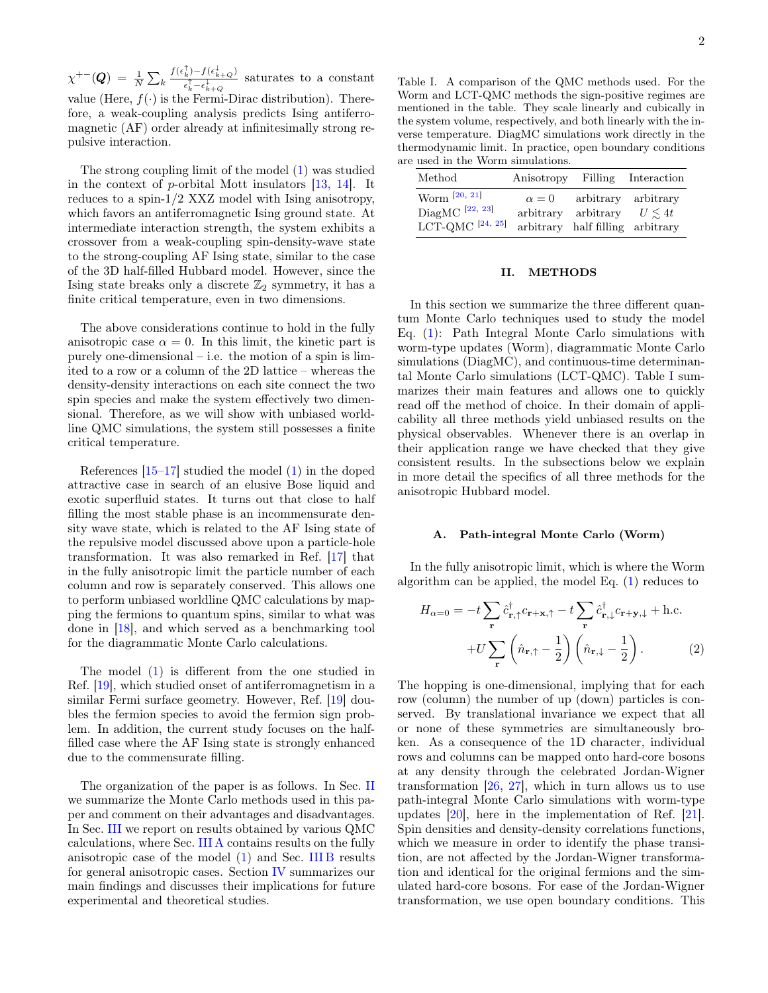$\chi^{+-}(\bm{Q})\;=\;\frac{1}{N}\sum_{k}% \left\vert k\right\vert ^{2}$  $f(\epsilon_k^{\uparrow})-f(\epsilon_{k+Q}^{\downarrow})$  $\frac{k^{j-1}(\mathfrak{c}_{k+Q}^j)}{\epsilon_k^{\uparrow} - \epsilon_{k+Q}^{\downarrow}}$  saturates to a constant value (Here,  $f(\cdot)$  is the Fermi-Dirac distribution). Therefore, a weak-coupling analysis predicts Ising antiferromagnetic (AF) order already at infinitesimally strong repulsive interaction.

The strong coupling limit of the model [\(1\)](#page-0-1) was studied in the context of p-orbital Mott insulators [\[13,](#page-7-11) [14\]](#page-7-12). It reduces to a spin-1/2 XXZ model with Ising anisotropy, which favors an antiferromagnetic Ising ground state. At intermediate interaction strength, the system exhibits a crossover from a weak-coupling spin-density-wave state to the strong-coupling AF Ising state, similar to the case of the 3D half-filled Hubbard model. However, since the Ising state breaks only a discrete  $\mathbb{Z}_2$  symmetry, it has a finite critical temperature, even in two dimensions.

The above considerations continue to hold in the fully anisotropic case  $\alpha = 0$ . In this limit, the kinetic part is purely one-dimensional – i.e. the motion of a spin is limited to a row or a column of the 2D lattice – whereas the density-density interactions on each site connect the two spin species and make the system effectively two dimensional. Therefore, as we will show with unbiased worldline QMC simulations, the system still possesses a finite critical temperature.

References  $[15-17]$  $[15-17]$  studied the model  $(1)$  in the doped attractive case in search of an elusive Bose liquid and exotic superfluid states. It turns out that close to half filling the most stable phase is an incommensurate density wave state, which is related to the AF Ising state of the repulsive model discussed above upon a particle-hole transformation. It was also remarked in Ref. [\[17\]](#page-7-14) that in the fully anisotropic limit the particle number of each column and row is separately conserved. This allows one to perform unbiased worldline QMC calculations by mapping the fermions to quantum spins, similar to what was done in [\[18\]](#page-7-15), and which served as a benchmarking tool for the diagrammatic Monte Carlo calculations.

The model [\(1\)](#page-0-1) is different from the one studied in Ref. [\[19\]](#page-7-16), which studied onset of antiferromagnetism in a similar Fermi surface geometry. However, Ref. [\[19\]](#page-7-16) doubles the fermion species to avoid the fermion sign problem. In addition, the current study focuses on the halffilled case where the AF Ising state is strongly enhanced due to the commensurate filling.

The organization of the paper is as follows. In Sec. [II](#page-1-0) we summarize the Monte Carlo methods used in this paper and comment on their advantages and disadvantages. In Sec. [III](#page-2-0) we report on results obtained by various QMC calculations, where Sec. [III A](#page-2-1) contains results on the fully anisotropic case of the model [\(1\)](#page-0-1) and Sec. [III B](#page-4-0) results for general anisotropic cases. Section [IV](#page-5-0) summarizes our main findings and discusses their implications for future experimental and theoretical studies.

<span id="page-1-1"></span>Table I. A comparison of the QMC methods used. For the Worm and LCT-QMC methods the sign-positive regimes are mentioned in the table. They scale linearly and cubically in the system volume, respectively, and both linearly with the inverse temperature. DiagMC simulations work directly in the thermodynamic limit. In practice, open boundary conditions are used in the Worm simulations.

| Method                                                     | Anisotropy                             | Filling                                          | Interaction              |
|------------------------------------------------------------|----------------------------------------|--------------------------------------------------|--------------------------|
| Worm $[20, 21]$<br>DiagMC $[22, 23]$<br>LCT-QMC $[24, 25]$ | $\alpha = 0$<br>arbitrary<br>arbitrary | arbitrary<br>arbitrary<br>half filling arbitrary | arbitrary<br>$U \leq 4t$ |

### <span id="page-1-0"></span>II. METHODS

In this section we summarize the three different quantum Monte Carlo techniques used to study the model Eq. [\(1\)](#page-0-1): Path Integral Monte Carlo simulations with worm-type updates (Worm), diagrammatic Monte Carlo simulations (DiagMC), and continuous-time determinantal Monte Carlo simulations (LCT-QMC). Table [I](#page-1-1) summarizes their main features and allows one to quickly read off the method of choice. In their domain of applicability all three methods yield unbiased results on the physical observables. Whenever there is an overlap in their application range we have checked that they give consistent results. In the subsections below we explain in more detail the specifics of all three methods for the anisotropic Hubbard model.

#### <span id="page-1-2"></span>A. Path-integral Monte Carlo (Worm)

In the fully anisotropic limit, which is where the Worm algorithm can be applied, the model Eq. [\(1\)](#page-0-1) reduces to

<span id="page-1-3"></span>
$$
H_{\alpha=0} = -t \sum_{\mathbf{r}} \hat{c}_{\mathbf{r},\uparrow}^{\dagger} c_{\mathbf{r}+\mathbf{x},\uparrow} - t \sum_{\mathbf{r}} \hat{c}_{\mathbf{r},\downarrow}^{\dagger} c_{\mathbf{r}+\mathbf{y},\downarrow} + \text{h.c.}
$$

$$
+ U \sum_{\mathbf{r}} \left( \hat{n}_{\mathbf{r},\uparrow} - \frac{1}{2} \right) \left( \hat{n}_{\mathbf{r},\downarrow} - \frac{1}{2} \right). \tag{2}
$$

The hopping is one-dimensional, implying that for each row (column) the number of up (down) particles is conserved. By translational invariance we expect that all or none of these symmetries are simultaneously broken. As a consequence of the 1D character, individual rows and columns can be mapped onto hard-core bosons at any density through the celebrated Jordan-Wigner transformation [\[26,](#page-7-23) [27\]](#page-7-24), which in turn allows us to use path-integral Monte Carlo simulations with worm-type updates [\[20\]](#page-7-17), here in the implementation of Ref. [\[21\]](#page-7-18). Spin densities and density-density correlations functions, which we measure in order to identify the phase transition, are not affected by the Jordan-Wigner transformation and identical for the original fermions and the simulated hard-core bosons. For ease of the Jordan-Wigner transformation, we use open boundary conditions. This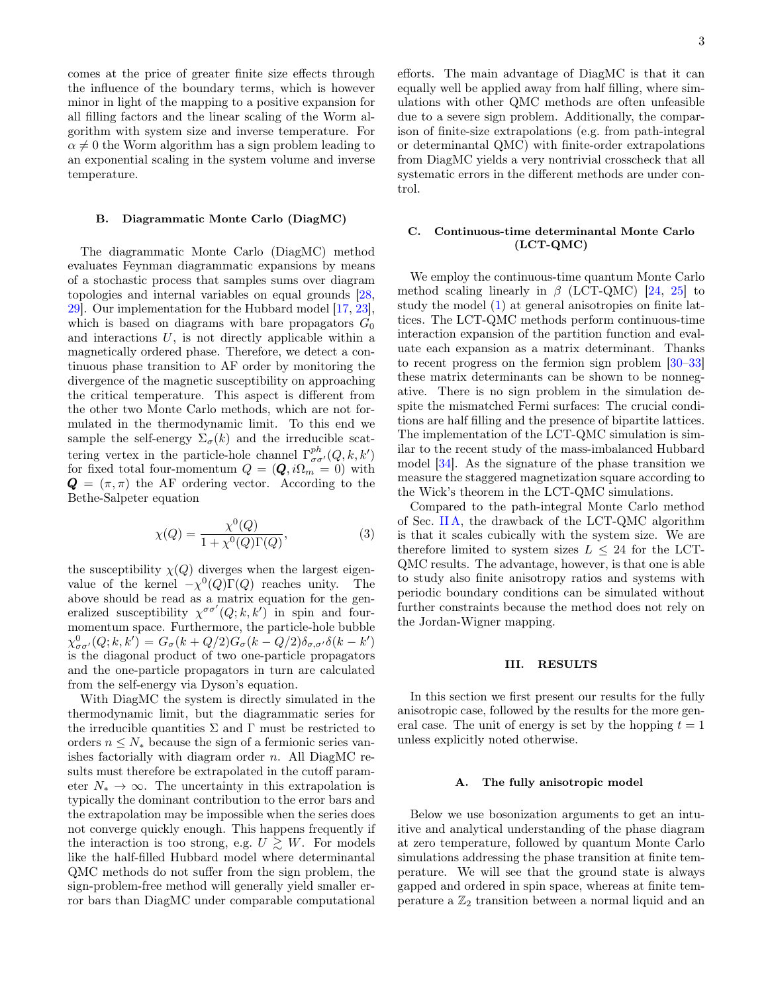comes at the price of greater finite size effects through the influence of the boundary terms, which is however minor in light of the mapping to a positive expansion for all filling factors and the linear scaling of the Worm algorithm with system size and inverse temperature. For  $\alpha \neq 0$  the Worm algorithm has a sign problem leading to an exponential scaling in the system volume and inverse temperature.

### B. Diagrammatic Monte Carlo (DiagMC)

The diagrammatic Monte Carlo (DiagMC) method evaluates Feynman diagrammatic expansions by means of a stochastic process that samples sums over diagram topologies and internal variables on equal grounds [\[28,](#page-8-0) [29\]](#page-8-1). Our implementation for the Hubbard model [\[17,](#page-7-14) [23\]](#page-7-20), which is based on diagrams with bare propagators  $G_0$ and interactions  $U$ , is not directly applicable within a magnetically ordered phase. Therefore, we detect a continuous phase transition to AF order by monitoring the divergence of the magnetic susceptibility on approaching the critical temperature. This aspect is different from the other two Monte Carlo methods, which are not formulated in the thermodynamic limit. To this end we sample the self-energy  $\Sigma_{\sigma}(k)$  and the irreducible scattering vertex in the particle-hole channel  $\Gamma^{ph}_{\sigma\sigma'}(Q,k,k')$ for fixed total four-momentum  $Q = (\mathbf{Q}, i\Omega_m = 0)$  with  $\mathbf{Q} = (\pi, \pi)$  the AF ordering vector. According to the Bethe-Salpeter equation

$$
\chi(Q) = \frac{\chi^0(Q)}{1 + \chi^0(Q)\Gamma(Q)},\tag{3}
$$

the susceptibility  $\chi(Q)$  diverges when the largest eigenvalue of the kernel  $-\chi^0(Q)\Gamma(Q)$  reaches unity. The above should be read as a matrix equation for the generalized susceptibility  $\chi^{\sigma\sigma'}(Q;k,k')$  in spin and fourmomentum space. Furthermore, the particle-hole bubble  $\chi^0_{\sigma\sigma'}(Q;k,k') = G_{\sigma}(k+Q/2)G_{\sigma}(k-Q/2)\delta_{\sigma,\sigma'}\delta(k-k')$ is the diagonal product of two one-particle propagators and the one-particle propagators in turn are calculated from the self-energy via Dyson's equation.

With DiagMC the system is directly simulated in the thermodynamic limit, but the diagrammatic series for the irreducible quantities  $\Sigma$  and  $\Gamma$  must be restricted to orders  $n \leq N_*$  because the sign of a fermionic series vanishes factorially with diagram order  $n$ . All DiagMC results must therefore be extrapolated in the cutoff parameter  $N_* \to \infty$ . The uncertainty in this extrapolation is typically the dominant contribution to the error bars and the extrapolation may be impossible when the series does not converge quickly enough. This happens frequently if the interaction is too strong, e.g.  $U \gtrsim W$ . For models like the half-filled Hubbard model where determinantal QMC methods do not suffer from the sign problem, the sign-problem-free method will generally yield smaller error bars than DiagMC under comparable computational

efforts. The main advantage of DiagMC is that it can equally well be applied away from half filling, where simulations with other QMC methods are often unfeasible due to a severe sign problem. Additionally, the comparison of finite-size extrapolations (e.g. from path-integral or determinantal QMC) with finite-order extrapolations from DiagMC yields a very nontrivial crosscheck that all systematic errors in the different methods are under control.

### C. Continuous-time determinantal Monte Carlo (LCT-QMC)

We employ the continuous-time quantum Monte Carlo method scaling linearly in  $\beta$  (LCT-QMC) [\[24,](#page-7-21) [25\]](#page-7-22) to study the model [\(1\)](#page-0-1) at general anisotropies on finite lattices. The LCT-QMC methods perform continuous-time interaction expansion of the partition function and evaluate each expansion as a matrix determinant. Thanks to recent progress on the fermion sign problem [\[30](#page-8-2)[–33\]](#page-8-3) these matrix determinants can be shown to be nonnegative. There is no sign problem in the simulation despite the mismatched Fermi surfaces: The crucial conditions are half filling and the presence of bipartite lattices. The implementation of the LCT-QMC simulation is similar to the recent study of the mass-imbalanced Hubbard model [\[34\]](#page-8-4). As the signature of the phase transition we measure the staggered magnetization square according to the Wick's theorem in the LCT-QMC simulations.

Compared to the path-integral Monte Carlo method of Sec. [II A,](#page-1-2) the drawback of the LCT-QMC algorithm is that it scales cubically with the system size. We are therefore limited to system sizes  $L \leq 24$  for the LCT-QMC results. The advantage, however, is that one is able to study also finite anisotropy ratios and systems with periodic boundary conditions can be simulated without further constraints because the method does not rely on the Jordan-Wigner mapping.

#### <span id="page-2-0"></span>III. RESULTS

In this section we first present our results for the fully anisotropic case, followed by the results for the more general case. The unit of energy is set by the hopping  $t = 1$ unless explicitly noted otherwise.

#### <span id="page-2-1"></span>A. The fully anisotropic model

Below we use bosonization arguments to get an intuitive and analytical understanding of the phase diagram at zero temperature, followed by quantum Monte Carlo simulations addressing the phase transition at finite temperature. We will see that the ground state is always gapped and ordered in spin space, whereas at finite temperature a  $\mathbb{Z}_2$  transition between a normal liquid and an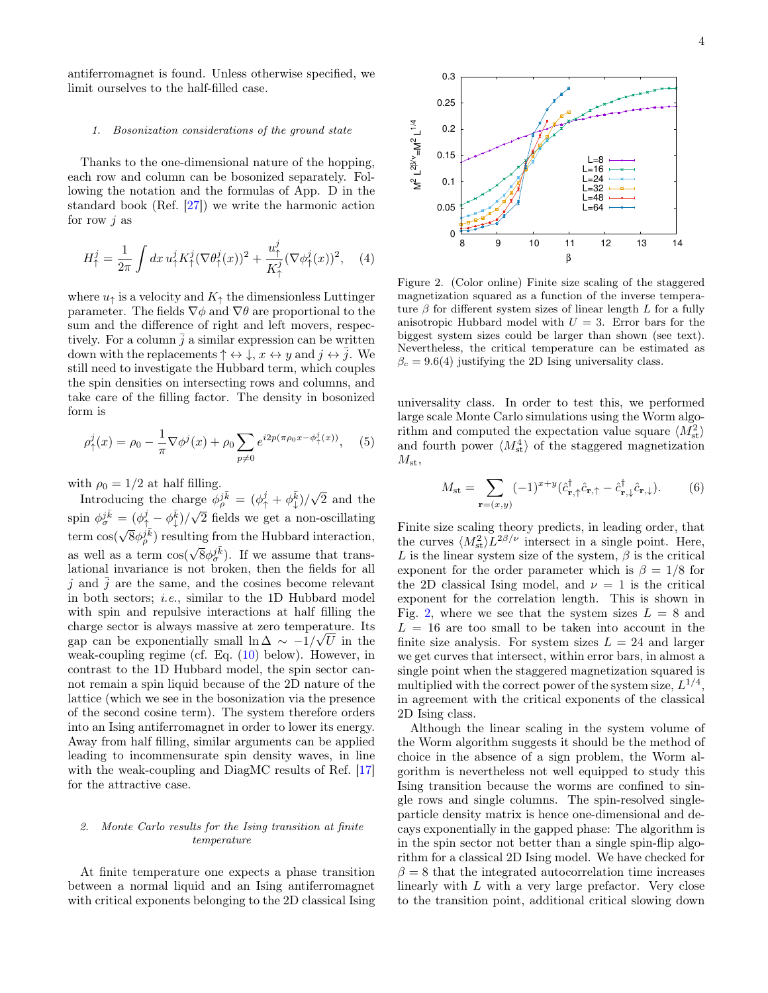antiferromagnet is found. Unless otherwise specified, we limit ourselves to the half-filled case.

#### 1. Bosonization considerations of the ground state

Thanks to the one-dimensional nature of the hopping, each row and column can be bosonized separately. Following the notation and the formulas of App. D in the standard book (Ref. [\[27\]](#page-7-24)) we write the harmonic action for row  $j$  as

$$
H_{\uparrow}^{j} = \frac{1}{2\pi} \int dx \, u_{\uparrow}^{j} K_{\uparrow}^{j} (\nabla \theta_{\uparrow}^{j}(x))^{2} + \frac{u_{\uparrow}^{j}}{K_{\uparrow}^{j}} (\nabla \phi_{\uparrow}^{j}(x))^{2}, \quad (4)
$$

where  $u_{\uparrow}$  is a velocity and  $K_{\uparrow}$  the dimensionless Luttinger parameter. The fields  $\nabla \phi$  and  $\nabla \theta$  are proportional to the sum and the difference of right and left movers, respectively. For a column  $\overline{j}$  a similar expression can be written down with the replacements  $\uparrow \leftrightarrow \downarrow$ ,  $x \leftrightarrow y$  and  $j \leftrightarrow \overline{j}$ . We still need to investigate the Hubbard term, which couples the spin densities on intersecting rows and columns, and take care of the filling factor. The density in bosonized form is

$$
\rho_{\uparrow}^{j}(x) = \rho_{0} - \frac{1}{\pi} \nabla \phi^{j}(x) + \rho_{0} \sum_{p \neq 0} e^{i2p(\pi \rho_{0} x - \phi_{\uparrow}^{j}(x))}, \quad (5)
$$

with  $\rho_0 = 1/2$  at half filling.

Introducing the charge  $\phi_p^j \bar{k} = (\phi_\uparrow^j + \phi_\downarrow^{\bar{k}})/\sqrt{2}$  and the spin  $\phi_{\sigma}^{j\bar{k}} = (\phi_{\uparrow}^{j} - \phi_{\downarrow}^{\bar{k}})/\sqrt{2}$  fields we get a non-oscillating term  $\cos(\sqrt{8}\phi_p^j \bar{k})$  resulting from the Hubbard interaction, as well as a term  $\cos(\sqrt{8}\phi_{\sigma}^{j\bar{k}})$ . If we assume that translational invariance is not broken, then the fields for all j and  $\overline{j}$  are the same, and the cosines become relevant in both sectors; i.e., similar to the 1D Hubbard model with spin and repulsive interactions at half filling the charge sector is always massive at zero temperature. Its gap can be exponentially small  $\ln \Delta \sim -1/\sqrt{U}$  in the weak-coupling regime (cf. Eq. [\(10\)](#page-4-1) below). However, in contrast to the 1D Hubbard model, the spin sector cannot remain a spin liquid because of the 2D nature of the lattice (which we see in the bosonization via the presence of the second cosine term). The system therefore orders into an Ising antiferromagnet in order to lower its energy. Away from half filling, similar arguments can be applied leading to incommensurate spin density waves, in line with the weak-coupling and DiagMC results of Ref. [\[17\]](#page-7-14) for the attractive case.

### 2. Monte Carlo results for the Ising transition at finite temperature

At finite temperature one expects a phase transition between a normal liquid and an Ising antiferromagnet with critical exponents belonging to the 2D classical Ising



<span id="page-3-0"></span>Figure 2. (Color online) Finite size scaling of the staggered magnetization squared as a function of the inverse temperature  $\beta$  for different system sizes of linear length L for a fully anisotropic Hubbard model with  $U = 3$ . Error bars for the biggest system sizes could be larger than shown (see text). Nevertheless, the critical temperature can be estimated as  $\beta_c = 9.6(4)$  justifying the 2D Ising universality class.

universality class. In order to test this, we performed large scale Monte Carlo simulations using the Worm algorithm and computed the expectation value square  $\langle M_{\rm st}^2 \rangle$ and fourth power  $\langle M_{\rm st}^4 \rangle$  of the staggered magnetization  $M_{\rm st}$ ,

$$
M_{\rm st} = \sum_{\mathbf{r}=(x,y)} (-1)^{x+y} (\hat{c}_{\mathbf{r},\uparrow}^{\dagger} \hat{c}_{\mathbf{r},\uparrow} - \hat{c}_{\mathbf{r},\downarrow}^{\dagger} \hat{c}_{\mathbf{r},\downarrow}). \tag{6}
$$

Finite size scaling theory predicts, in leading order, that the curves  $\langle M_{\rm st}^2 \rangle L^{2\beta/\nu}$  intersect in a single point. Here, L is the linear system size of the system,  $\beta$  is the critical exponent for the order parameter which is  $\beta = 1/8$  for the 2D classical Ising model, and  $\nu = 1$  is the critical exponent for the correlation length. This is shown in Fig. [2,](#page-3-0) where we see that the system sizes  $L = 8$  and  $L = 16$  are too small to be taken into account in the finite size analysis. For system sizes  $L = 24$  and larger we get curves that intersect, within error bars, in almost a single point when the staggered magnetization squared is multiplied with the correct power of the system size,  $L^{1/4}$ , in agreement with the critical exponents of the classical 2D Ising class.

Although the linear scaling in the system volume of the Worm algorithm suggests it should be the method of choice in the absence of a sign problem, the Worm algorithm is nevertheless not well equipped to study this Ising transition because the worms are confined to single rows and single columns. The spin-resolved singleparticle density matrix is hence one-dimensional and decays exponentially in the gapped phase: The algorithm is in the spin sector not better than a single spin-flip algorithm for a classical 2D Ising model. We have checked for  $\beta = 8$  that the integrated autocorrelation time increases linearly with L with a very large prefactor. Very close to the transition point, additional critical slowing down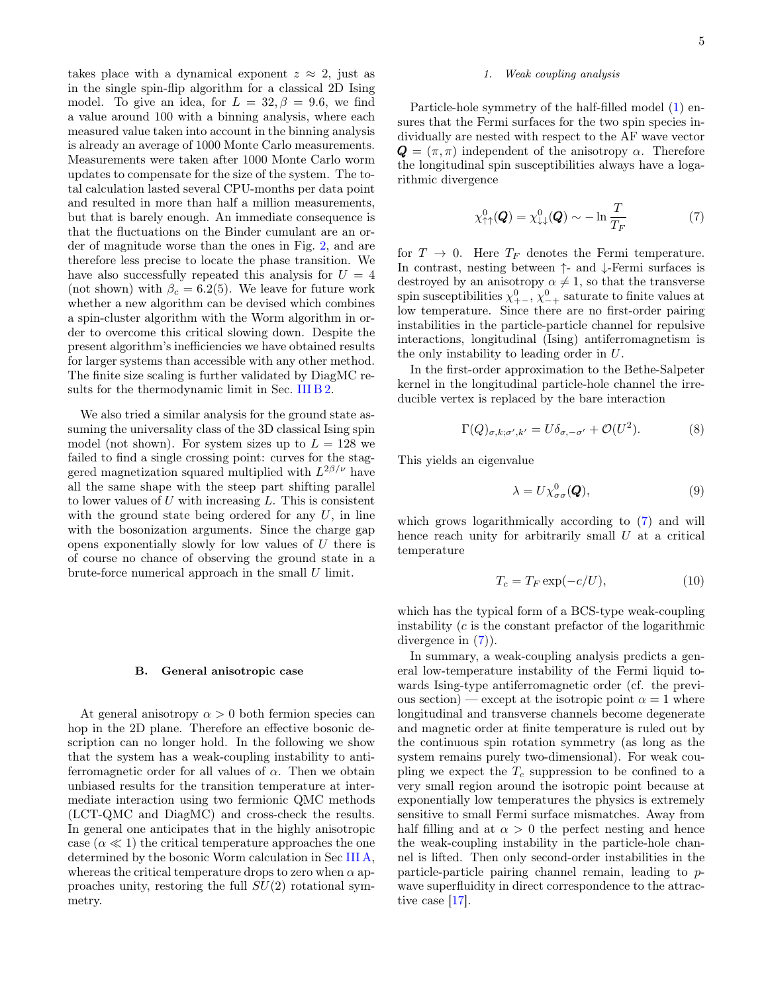takes place with a dynamical exponent  $z \approx 2$ , just as in the single spin-flip algorithm for a classical 2D Ising model. To give an idea, for  $L = 32, \beta = 9.6$ , we find a value around 100 with a binning analysis, where each measured value taken into account in the binning analysis is already an average of 1000 Monte Carlo measurements. Measurements were taken after 1000 Monte Carlo worm updates to compensate for the size of the system. The total calculation lasted several CPU-months per data point and resulted in more than half a million measurements, but that is barely enough. An immediate consequence is that the fluctuations on the Binder cumulant are an order of magnitude worse than the ones in Fig. [2,](#page-3-0) and are therefore less precise to locate the phase transition. We have also successfully repeated this analysis for  $U = 4$ (not shown) with  $\beta_c = 6.2(5)$ . We leave for future work whether a new algorithm can be devised which combines a spin-cluster algorithm with the Worm algorithm in order to overcome this critical slowing down. Despite the present algorithm's inefficiencies we have obtained results for larger systems than accessible with any other method. The finite size scaling is further validated by DiagMC results for the thermodynamic limit in Sec. [III B 2.](#page-5-1)

We also tried a similar analysis for the ground state assuming the universality class of the 3D classical Ising spin model (not shown). For system sizes up to  $L = 128$  we failed to find a single crossing point: curves for the staggered magnetization squared multiplied with  $L^{2\beta/\nu}$  have all the same shape with the steep part shifting parallel to lower values of  $U$  with increasing  $L$ . This is consistent with the ground state being ordered for any  $U$ , in line with the bosonization arguments. Since the charge gap opens exponentially slowly for low values of  $U$  there is of course no chance of observing the ground state in a brute-force numerical approach in the small  $U$  limit.

#### <span id="page-4-0"></span>B. General anisotropic case

At general anisotropy  $\alpha > 0$  both fermion species can hop in the 2D plane. Therefore an effective bosonic description can no longer hold. In the following we show that the system has a weak-coupling instability to antiferromagnetic order for all values of  $\alpha$ . Then we obtain unbiased results for the transition temperature at intermediate interaction using two fermionic QMC methods (LCT-QMC and DiagMC) and cross-check the results. In general one anticipates that in the highly anisotropic case  $(\alpha \ll 1)$  the critical temperature approaches the one determined by the bosonic Worm calculation in Sec [III A,](#page-2-1) whereas the critical temperature drops to zero when  $\alpha$  approaches unity, restoring the full  $SU(2)$  rotational symmetry.

### <span id="page-4-3"></span>1. Weak coupling analysis

Particle-hole symmetry of the half-filled model [\(1\)](#page-0-1) ensures that the Fermi surfaces for the two spin species individually are nested with respect to the AF wave vector  $\mathbf{Q} = (\pi, \pi)$  independent of the anisotropy  $\alpha$ . Therefore the longitudinal spin susceptibilities always have a logarithmic divergence

<span id="page-4-2"></span>
$$
\chi^0_{\uparrow\uparrow}(\mathbf{Q}) = \chi^0_{\downarrow\downarrow}(\mathbf{Q}) \sim -\ln \frac{T}{T_F}
$$
 (7)

for  $T \to 0$ . Here  $T_F$  denotes the Fermi temperature. In contrast, nesting between ↑- and ↓-Fermi surfaces is destroyed by an anisotropy  $\alpha \neq 1$ , so that the transverse spin susceptibilities  $\chi^0_{+-}$ ,  $\chi^0_{-+}$  saturate to finite values at low temperature. Since there are no first-order pairing instabilities in the particle-particle channel for repulsive interactions, longitudinal (Ising) antiferromagnetism is the only instability to leading order in U.

In the first-order approximation to the Bethe-Salpeter kernel in the longitudinal particle-hole channel the irreducible vertex is replaced by the bare interaction

$$
\Gamma(Q)_{\sigma,k;\sigma',k'} = U\delta_{\sigma,-\sigma'} + \mathcal{O}(U^2). \tag{8}
$$

This yields an eigenvalue

$$
\lambda = U \chi_{\sigma\sigma}^{0}(\boldsymbol{Q}), \tag{9}
$$

which grows logarithmically according to [\(7\)](#page-4-2) and will hence reach unity for arbitrarily small  $U$  at a critical temperature

<span id="page-4-1"></span>
$$
T_c = T_F \exp(-c/U),\tag{10}
$$

which has the typical form of a BCS-type weak-coupling instability  $(c$  is the constant prefactor of the logarithmic divergence in [\(7\)](#page-4-2)).

In summary, a weak-coupling analysis predicts a general low-temperature instability of the Fermi liquid towards Ising-type antiferromagnetic order (cf. the previous section) — except at the isotropic point  $\alpha = 1$  where longitudinal and transverse channels become degenerate and magnetic order at finite temperature is ruled out by the continuous spin rotation symmetry (as long as the system remains purely two-dimensional). For weak coupling we expect the  $T_c$  suppression to be confined to a very small region around the isotropic point because at exponentially low temperatures the physics is extremely sensitive to small Fermi surface mismatches. Away from half filling and at  $\alpha > 0$  the perfect nesting and hence the weak-coupling instability in the particle-hole channel is lifted. Then only second-order instabilities in the particle-particle pairing channel remain, leading to pwave superfluidity in direct correspondence to the attractive case [\[17\]](#page-7-14).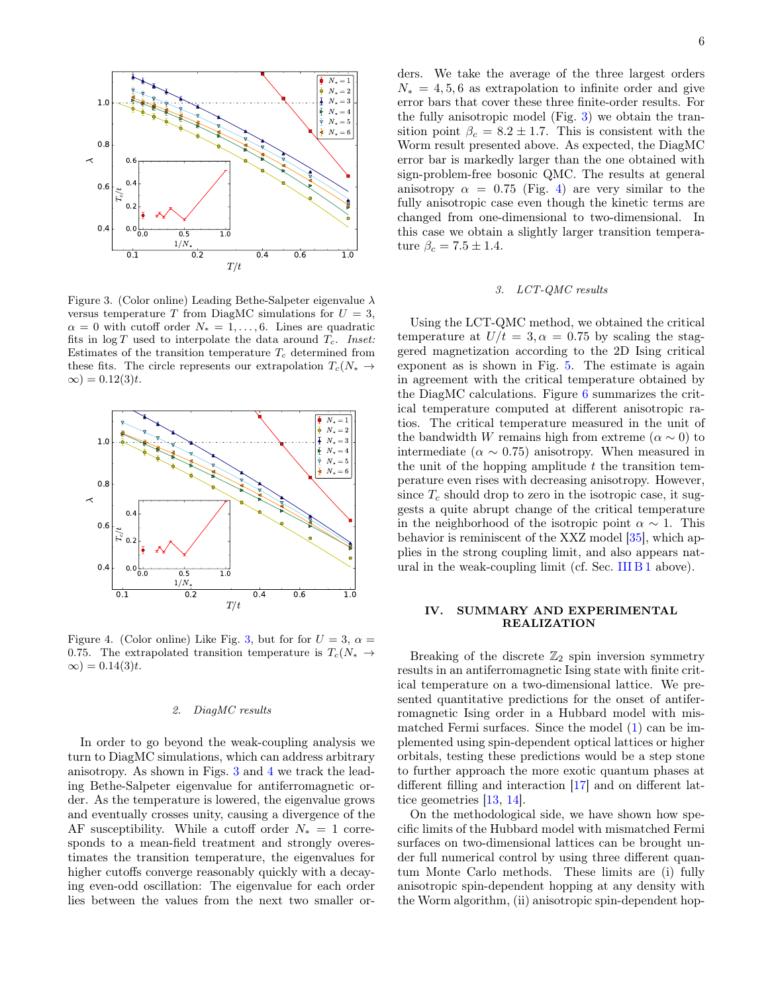

<span id="page-5-2"></span>Figure 3. (Color online) Leading Bethe-Salpeter eigenvalue  $\lambda$ versus temperature T from DiagMC simulations for  $U = 3$ ,  $\alpha = 0$  with cutoff order  $N_* = 1, \ldots, 6$ . Lines are quadratic fits in  $\log T$  used to interpolate the data around  $T_c$ . Inset: Estimates of the transition temperature  $T_c$  determined from these fits. The circle represents our extrapolation  $T_c(N_* \rightarrow$  $\infty) = 0.12(3)t.$ 



<span id="page-5-3"></span>Figure 4. (Color online) Like Fig. [3,](#page-5-2) but for for  $U = 3$ ,  $\alpha =$ 0.75. The extrapolated transition temperature is  $T_c(N_* \rightarrow$  $\infty$ ) = 0.14(3)t.

#### <span id="page-5-1"></span>2. DiagMC results

In order to go beyond the weak-coupling analysis we turn to DiagMC simulations, which can address arbitrary anisotropy. As shown in Figs. [3](#page-5-2) and [4](#page-5-3) we track the leading Bethe-Salpeter eigenvalue for antiferromagnetic order. As the temperature is lowered, the eigenvalue grows and eventually crosses unity, causing a divergence of the AF susceptibility. While a cutoff order  $N_* = 1$  corresponds to a mean-field treatment and strongly overestimates the transition temperature, the eigenvalues for higher cutoffs converge reasonably quickly with a decaying even-odd oscillation: The eigenvalue for each order lies between the values from the next two smaller orders. We take the average of the three largest orders  $N_* = 4, 5, 6$  as extrapolation to infinite order and give error bars that cover these three finite-order results. For the fully anisotropic model (Fig. [3\)](#page-5-2) we obtain the transition point  $\beta_c = 8.2 \pm 1.7$ . This is consistent with the Worm result presented above. As expected, the DiagMC error bar is markedly larger than the one obtained with sign-problem-free bosonic QMC. The results at general anisotropy  $\alpha = 0.75$  (Fig. [4\)](#page-5-3) are very similar to the fully anisotropic case even though the kinetic terms are changed from one-dimensional to two-dimensional. In this case we obtain a slightly larger transition temperature  $\beta_c = 7.5 \pm 1.4$ .

#### 3. LCT-QMC results

Using the LCT-QMC method, we obtained the critical temperature at  $U/t = 3, \alpha = 0.75$  by scaling the staggered magnetization according to the 2D Ising critical exponent as is shown in Fig. [5.](#page-6-0) The estimate is again in agreement with the critical temperature obtained by the DiagMC calculations. Figure [6](#page-6-1) summarizes the critical temperature computed at different anisotropic ratios. The critical temperature measured in the unit of the bandwidth W remains high from extreme ( $\alpha \sim 0$ ) to intermediate ( $\alpha \sim 0.75$ ) anisotropy. When measured in the unit of the hopping amplitude  $t$  the transition temperature even rises with decreasing anisotropy. However, since  $T_c$  should drop to zero in the isotropic case, it suggests a quite abrupt change of the critical temperature in the neighborhood of the isotropic point  $\alpha \sim 1$ . This behavior is reminiscent of the XXZ model [\[35\]](#page-8-5), which applies in the strong coupling limit, and also appears natural in the weak-coupling limit (cf. Sec. [III B 1](#page-4-3) above).

### <span id="page-5-0"></span>IV. SUMMARY AND EXPERIMENTAL REALIZATION

Breaking of the discrete  $\mathbb{Z}_2$  spin inversion symmetry results in an antiferromagnetic Ising state with finite critical temperature on a two-dimensional lattice. We presented quantitative predictions for the onset of antiferromagnetic Ising order in a Hubbard model with mismatched Fermi surfaces. Since the model [\(1\)](#page-0-1) can be implemented using spin-dependent optical lattices or higher orbitals, testing these predictions would be a step stone to further approach the more exotic quantum phases at different filling and interaction [\[17\]](#page-7-14) and on different lattice geometries [\[13,](#page-7-11) [14\]](#page-7-12).

On the methodological side, we have shown how specific limits of the Hubbard model with mismatched Fermi surfaces on two-dimensional lattices can be brought under full numerical control by using three different quantum Monte Carlo methods. These limits are (i) fully anisotropic spin-dependent hopping at any density with the Worm algorithm, (ii) anisotropic spin-dependent hop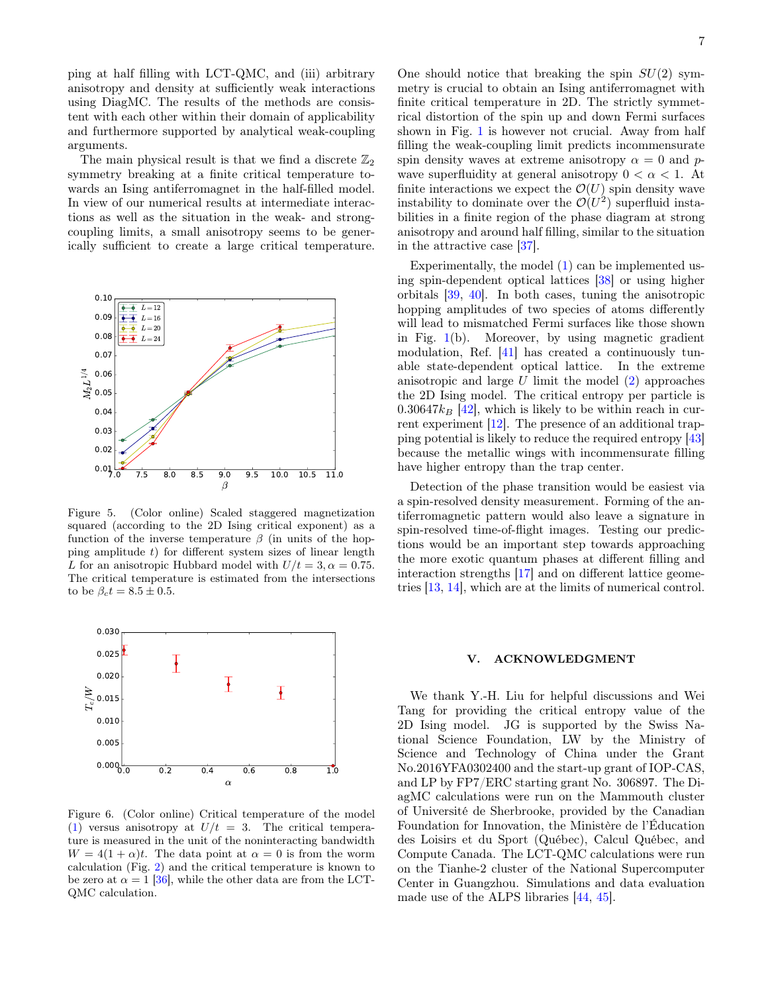ping at half filling with LCT-QMC, and (iii) arbitrary anisotropy and density at sufficiently weak interactions using DiagMC. The results of the methods are consistent with each other within their domain of applicability and furthermore supported by analytical weak-coupling arguments.

The main physical result is that we find a discrete  $\mathbb{Z}_2$ symmetry breaking at a finite critical temperature towards an Ising antiferromagnet in the half-filled model. In view of our numerical results at intermediate interactions as well as the situation in the weak- and strongcoupling limits, a small anisotropy seems to be generically sufficient to create a large critical temperature.



<span id="page-6-0"></span>Figure 5. (Color online) Scaled staggered magnetization squared (according to the 2D Ising critical exponent) as a function of the inverse temperature  $\beta$  (in units of the hopping amplitude  $t$ ) for different system sizes of linear length L for an anisotropic Hubbard model with  $U/t = 3, \alpha = 0.75$ . The critical temperature is estimated from the intersections to be  $\beta_c t = 8.5 \pm 0.5$ .



<span id="page-6-1"></span>Figure 6. (Color online) Critical temperature of the model [\(1\)](#page-0-1) versus anisotropy at  $U/t = 3$ . The critical temperature is measured in the unit of the noninteracting bandwidth  $W = 4(1 + \alpha)t$ . The data point at  $\alpha = 0$  is from the worm calculation (Fig. [2\)](#page-3-0) and the critical temperature is known to be zero at  $\alpha = 1$  [\[36\]](#page-8-6), while the other data are from the LCT-QMC calculation.

One should notice that breaking the spin  $SU(2)$  symmetry is crucial to obtain an Ising antiferromagnet with finite critical temperature in 2D. The strictly symmetrical distortion of the spin up and down Fermi surfaces shown in Fig. [1](#page-0-0) is however not crucial. Away from half filling the weak-coupling limit predicts incommensurate spin density waves at extreme anisotropy  $\alpha = 0$  and pwave superfluidity at general anisotropy  $0 < \alpha < 1$ . At finite interactions we expect the  $\mathcal{O}(U)$  spin density wave instability to dominate over the  $\mathcal{O}(U^2)$  superfluid instabilities in a finite region of the phase diagram at strong anisotropy and around half filling, similar to the situation in the attractive case [\[37\]](#page-8-7).

Experimentally, the model [\(1\)](#page-0-1) can be implemented using spin-dependent optical lattices [\[38\]](#page-8-8) or using higher orbitals [\[39,](#page-8-9) [40\]](#page-8-10). In both cases, tuning the anisotropic hopping amplitudes of two species of atoms differently will lead to mismatched Fermi surfaces like those shown in Fig. [1\(](#page-0-0)b). Moreover, by using magnetic gradient modulation, Ref. [\[41\]](#page-8-11) has created a continuously tunable state-dependent optical lattice. In the extreme anisotropic and large U limit the model [\(2\)](#page-1-3) approaches the 2D Ising model. The critical entropy per particle is  $0.30647k_B$  [\[42\]](#page-8-12), which is likely to be within reach in current experiment [\[12\]](#page-7-10). The presence of an additional trapping potential is likely to reduce the required entropy [\[43\]](#page-8-13) because the metallic wings with incommensurate filling have higher entropy than the trap center.

Detection of the phase transition would be easiest via a spin-resolved density measurement. Forming of the antiferromagnetic pattern would also leave a signature in spin-resolved time-of-flight images. Testing our predictions would be an important step towards approaching the more exotic quantum phases at different filling and interaction strengths [\[17\]](#page-7-14) and on different lattice geometries [\[13,](#page-7-11) [14\]](#page-7-12), which are at the limits of numerical control.

# V. ACKNOWLEDGMENT

We thank Y.-H. Liu for helpful discussions and Wei Tang for providing the critical entropy value of the 2D Ising model. JG is supported by the Swiss National Science Foundation, LW by the Ministry of Science and Technology of China under the Grant No.2016YFA0302400 and the start-up grant of IOP-CAS, and LP by FP7/ERC starting grant No. 306897. The DiagMC calculations were run on the Mammouth cluster of Université de Sherbrooke, provided by the Canadian Foundation for Innovation, the Ministère de l'Éducation des Loisirs et du Sport (Québec), Calcul Québec, and Compute Canada. The LCT-QMC calculations were run on the Tianhe-2 cluster of the National Supercomputer Center in Guangzhou. Simulations and data evaluation made use of the ALPS libraries [\[44,](#page-8-14) [45\]](#page-8-15).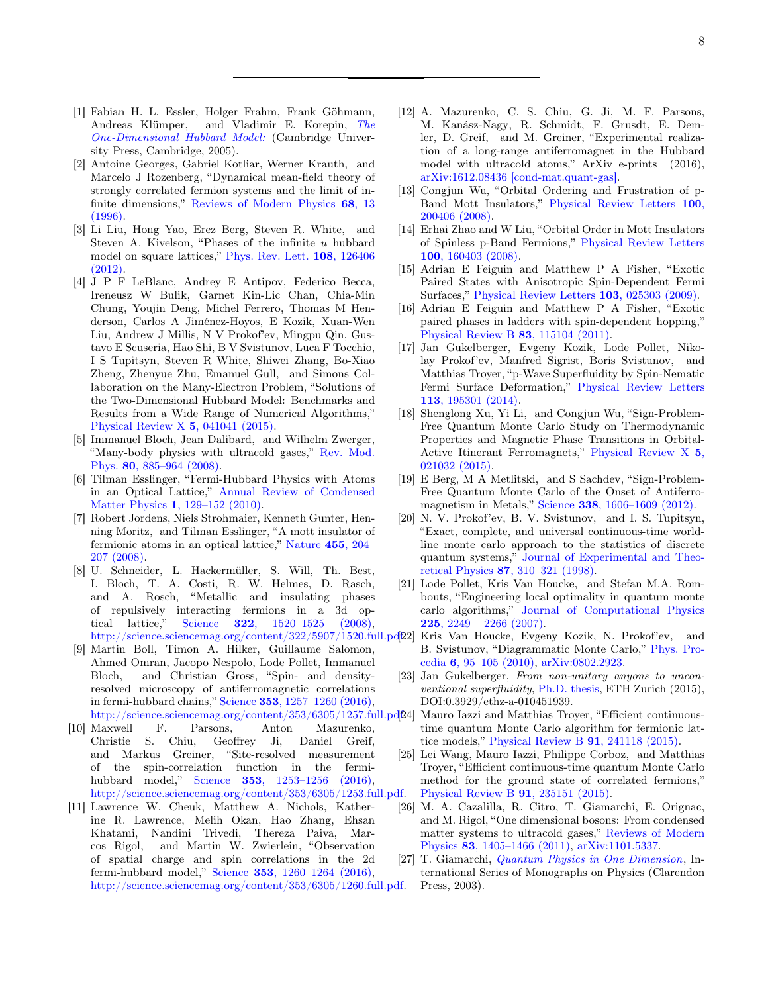- <span id="page-7-0"></span>[1] Fabian H. L. Essler, Holger Frahm, Frank Göhmann, Andreas Klümper, and Vladimir E. Korepin, [The](http://dx.doi.org/10.1017/CBO9780511534843) [One-Dimensional Hubbard Model:](http://dx.doi.org/10.1017/CBO9780511534843) (Cambridge University Press, Cambridge, 2005).
- <span id="page-7-1"></span>[2] Antoine Georges, Gabriel Kotliar, Werner Krauth, and Marcelo J Rozenberg, "Dynamical mean-field theory of strongly correlated fermion systems and the limit of infinite dimensions," [Reviews of Modern Physics](http://rmp.aps.org/abstract/RMP/v68/i1/p13_1) 68, 13 [\(1996\).](http://rmp.aps.org/abstract/RMP/v68/i1/p13_1)
- <span id="page-7-2"></span>[3] Li Liu, Hong Yao, Erez Berg, Steven R. White, and Steven A. Kivelson, "Phases of the infinite u hubbard model on square lattices," [Phys. Rev. Lett.](http://dx.doi.org/10.1103/PhysRevLett.108.126406) 108, 126406 [\(2012\).](http://dx.doi.org/10.1103/PhysRevLett.108.126406)
- <span id="page-7-3"></span>[4] J P F LeBlanc, Andrey E Antipov, Federico Becca, Ireneusz W Bulik, Garnet Kin-Lic Chan, Chia-Min Chung, Youjin Deng, Michel Ferrero, Thomas M Henderson, Carlos A Jiménez-Hoyos, E Kozik, Xuan-Wen Liu, Andrew J Millis, N V Prokof'ev, Mingpu Qin, Gustavo E Scuseria, Hao Shi, B V Svistunov, Luca F Tocchio, I S Tupitsyn, Steven R White, Shiwei Zhang, Bo-Xiao Zheng, Zhenyue Zhu, Emanuel Gull, and Simons Collaboration on the Many-Electron Problem, "Solutions of the Two-Dimensional Hubbard Model: Benchmarks and Results from a Wide Range of Numerical Algorithms," [Physical Review X](http://dx.doi.org/10.1103/PhysRevX.5.041041) 5, 041041 (2015).
- <span id="page-7-4"></span>[5] Immanuel Bloch, Jean Dalibard, and Wilhelm Zwerger, "Many-body physics with ultracold gases," [Rev. Mod.](http://dx.doi.org/10.1103/RevModPhys.80.885) Phys. 80[, 885–964 \(2008\).](http://dx.doi.org/10.1103/RevModPhys.80.885)
- <span id="page-7-5"></span>[6] Tilman Esslinger, "Fermi-Hubbard Physics with Atoms in an Optical Lattice," [Annual Review of Condensed](http://dx.doi.org/10.1146/annurev-conmatphys-070909-104059) Matter Physics 1[, 129–152 \(2010\).](http://dx.doi.org/10.1146/annurev-conmatphys-070909-104059)
- <span id="page-7-6"></span>[7] Robert Jordens, Niels Strohmaier, Kenneth Gunter, Henning Moritz, and Tilman Esslinger, "A mott insulator of fermionic atoms in an optical lattice," [Nature](http://dx.doi.org/10.1038/nature07244) 455, 204– [207 \(2008\).](http://dx.doi.org/10.1038/nature07244)
- <span id="page-7-7"></span>[8] U. Schneider, L. Hackermüller, S. Will, Th. Best, I. Bloch, T. A. Costi, R. W. Helmes, D. Rasch, and A. Rosch, "Metallic and insulating phases of repulsively interacting fermions in a 3d optical lattice," Science 322[, 1520–1525 \(2008\),](http://dx.doi.org/ 10.1126/science.1165449)
- <span id="page-7-8"></span>[9] Martin Boll, Timon A. Hilker, Guillaume Salomon, Ahmed Omran, Jacopo Nespolo, Lode Pollet, Immanuel Bloch, and Christian Gross, "Spin- and densityresolved microscopy of antiferromagnetic correlations in fermi-hubbard chains," Science 353[, 1257–1260 \(2016\),](http://dx.doi.org/ 10.1126/science.aag1635) http://science.sciencemag.org/content/353/6305/1257.full.pd $[24]$
- [10] Maxwell F. Parsons, Anton Mazurenko, Christie S. Chiu, Geoffrey Ji, Daniel Greif, and Markus Greiner, "Site-resolved measurement of the spin-correlation function in the fermihubbard model," Science 353[, 1253–1256 \(2016\),](http://dx.doi.org/10.1126/science.aag1430) [http://science.sciencemag.org/content/353/6305/1253.full.pdf.](http://arxiv.org/abs/http://science.sciencemag.org/content/353/6305/1253.full.pdf)
- <span id="page-7-9"></span>[11] Lawrence W. Cheuk, Matthew A. Nichols, Katherine R. Lawrence, Melih Okan, Hao Zhang, Ehsan Khatami, Nandini Trivedi, Thereza Paiva, Marcos Rigol, and Martin W. Zwierlein, "Observation of spatial charge and spin correlations in the 2d fermi-hubbard model," Science 353[, 1260–1264 \(2016\),](http://dx.doi.org/ 10.1126/science.aag3349) [http://science.sciencemag.org/content/353/6305/1260.full.pdf.](http://arxiv.org/abs/http://science.sciencemag.org/content/353/6305/1260.full.pdf)
- <span id="page-7-10"></span>[12] A. Mazurenko, C. S. Chiu, G. Ji, M. F. Parsons, M. Kanász-Nagy, R. Schmidt, F. Grusdt, E. Demler, D. Greif, and M. Greiner, "Experimental realization of a long-range antiferromagnet in the Hubbard model with ultracold atoms," ArXiv e-prints (2016), [arXiv:1612.08436 \[cond-mat.quant-gas\].](http://arxiv.org/abs/1612.08436)
- <span id="page-7-11"></span>[13] Congjun Wu, "Orbital Ordering and Frustration of p-Band Mott Insulators," [Physical Review Letters](http://link.aps.org/doi/10.1103/PhysRevLett.100.200406) 100, [200406 \(2008\).](http://link.aps.org/doi/10.1103/PhysRevLett.100.200406)
- <span id="page-7-12"></span>[14] Erhai Zhao and W Liu, "Orbital Order in Mott Insulators of Spinless p-Band Fermions," [Physical Review Letters](http://link.aps.org/doi/10.1103/PhysRevLett.100.160403) 100[, 160403 \(2008\).](http://link.aps.org/doi/10.1103/PhysRevLett.100.160403)
- <span id="page-7-13"></span>[15] Adrian E Feiguin and Matthew P A Fisher, "Exotic Paired States with Anisotropic Spin-Dependent Fermi Surfaces," [Physical Review Letters](http://link.aps.org/doi/10.1103/PhysRevLett.103.025303) 103, 025303 (2009).
- [16] Adrian E Feiguin and Matthew P A Fisher, "Exotic paired phases in ladders with spin-dependent hopping," [Physical Review B](http://link.aps.org/doi/10.1103/PhysRevB.83.115104) 83, 115104 (2011).
- <span id="page-7-14"></span>[17] Jan Gukelberger, Evgeny Kozik, Lode Pollet, Nikolay Prokof'ev, Manfred Sigrist, Boris Svistunov, and Matthias Troyer, "p-Wave Superfluidity by Spin-Nematic Fermi Surface Deformation," [Physical Review Letters](http://link.aps.org/doi/10.1103/PhysRevLett.113.195301) 113[, 195301 \(2014\).](http://link.aps.org/doi/10.1103/PhysRevLett.113.195301)
- <span id="page-7-15"></span>[18] Shenglong Xu, Yi Li, and Congjun Wu, "Sign-Problem-Free Quantum Monte Carlo Study on Thermodynamic Properties and Magnetic Phase Transitions in Orbital-Active Itinerant Ferromagnets," [Physical Review X](http://link.aps.org/doi/10.1103/PhysRevX.5.021032) 5, [021032 \(2015\).](http://link.aps.org/doi/10.1103/PhysRevX.5.021032)
- <span id="page-7-16"></span>[19] E Berg, M A Metlitski, and S Sachdev, "Sign-Problem-Free Quantum Monte Carlo of the Onset of Antiferromagnetism in Metals," Science 338[, 1606–1609 \(2012\).](http://www.sciencemag.org/cgi/doi/10.1126/science.1227769)
- <span id="page-7-17"></span>[20] N. V. Prokof'ev, B. V. Svistunov, and I. S. Tupitsyn, "Exact, complete, and universal continuous-time worldline monte carlo approach to the statistics of discrete quantum systems," [Journal of Experimental and Theo](http://dx.doi.org/10.1134/1.558661)retical Physics 87[, 310–321 \(1998\).](http://dx.doi.org/10.1134/1.558661)
- <span id="page-7-24"></span><span id="page-7-23"></span><span id="page-7-22"></span><span id="page-7-21"></span><span id="page-7-20"></span><span id="page-7-19"></span><span id="page-7-18"></span>[21] Lode Pollet, Kris Van Houcke, and Stefan M.A. Rombouts, "Engineering local optimality in quantum monte carlo algorithms," [Journal of Computational Physics](http://dx.doi.org/http://dx.doi.org/10.1016/j.jcp.2007.03.013) 225[, 2249 – 2266 \(2007\).](http://dx.doi.org/http://dx.doi.org/10.1016/j.jcp.2007.03.013)
- http://science.sciencemag.org/content/322/5907/1520.full.pd $D2$  Kris Van Houcke, Evgeny Kozik, N. Prokof'ev, and B. Svistunov, "Diagrammatic Monte Carlo," [Phys. Pro](http://dx.doi.org/10.1016/j.phpro.2010.09.034)cedia 6[, 95–105 \(2010\),](http://dx.doi.org/10.1016/j.phpro.2010.09.034) [arXiv:0802.2923.](http://arxiv.org/abs/0802.2923)
	- [23] Jan Gukelberger, From non-unitary anyons to unconventional superfluidity, [Ph.D. thesis,](http://dx.doi.org/10.3929/ethz-a-010451939) ETH Zurich (2015), DOI:0.3929/ethz-a-010451939.
	- Mauro Iazzi and Matthias Troyer, "Efficient continuoustime quantum Monte Carlo algorithm for fermionic lattice models," [Physical Review B](http://link.aps.org/doi/10.1103/PhysRevB.91.241118) 91, 241118 (2015).
	- [25] Lei Wang, Mauro Iazzi, Philippe Corboz, and Matthias Troyer, "Efficient continuous-time quantum Monte Carlo method for the ground state of correlated fermions," [Physical Review B](http://adsabs.harvard.edu/cgi-bin/nph-data_query?bibcode=2015PhRvB..91w5151W&link_type=ABSTRACT) 91, 235151 (2015).
	- [26] M. A. Cazalilla, R. Citro, T. Giamarchi, E. Orignac, and M. Rigol, "One dimensional bosons: From condensed matter systems to ultracold gases," [Reviews of Modern](http://dx.doi.org/10.1103/RevModPhys.83.1405) Physics 83[, 1405–1466 \(2011\),](http://dx.doi.org/10.1103/RevModPhys.83.1405) [arXiv:1101.5337.](http://arxiv.org/abs/1101.5337)
	- [27] T. Giamarchi, [Quantum Physics in One Dimension](https://books.google.de/books?id=GVeuKZLGMZ0C), International Series of Monographs on Physics (Clarendon Press, 2003).